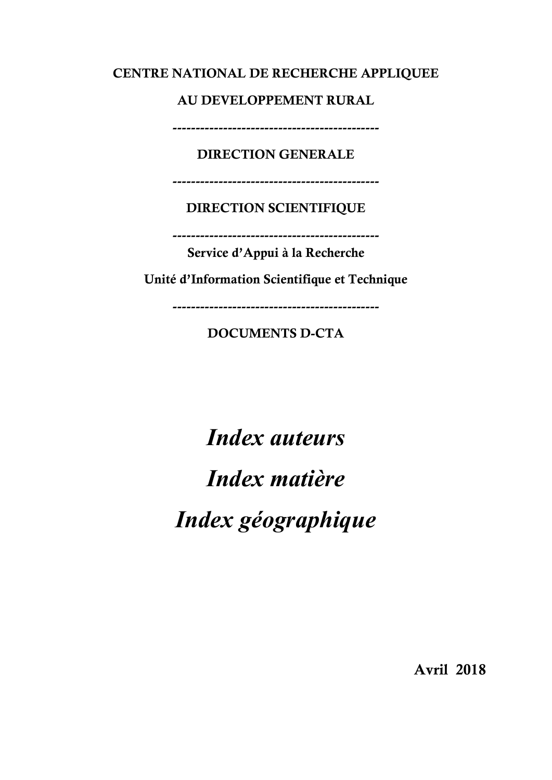#### CENTRE NATIONAL DE RECHERCHE APPLIQUEE

#### AU DEVELOPPEMENT RURAL

---------------------------------------------

### DIRECTION GENERALE

---------------------------------------------

### DIRECTION SCIENTIFIQUE

---------------------------------------------

Service d'Appui à la Recherche

Unité d'Information Scientifique et Technique

---------------------------------------------

### DOCUMENTS D-CTA

Index auteurs Index matière Index géographique

Avril 2018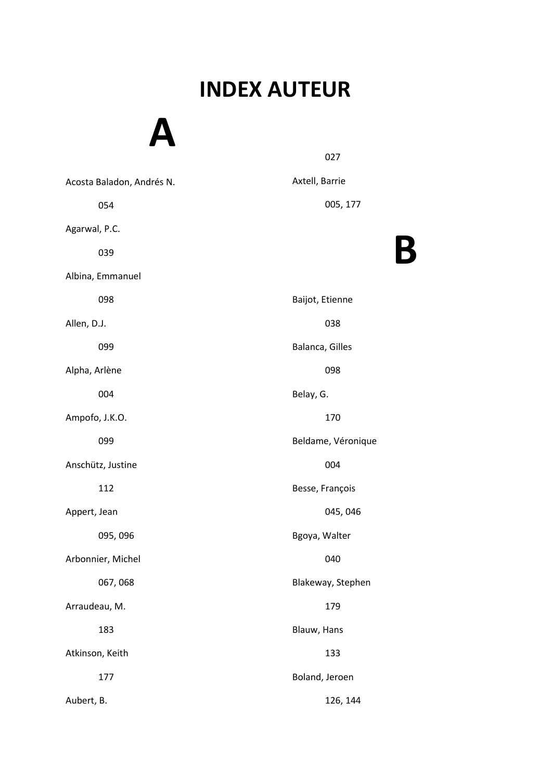#### $\mathbf{r}$ INDEX AUTEUR

B

A Acosta Baladon, Andrés N. 054 Agarwal, P.C. 039 Albina, Emmanuel 098 Allen, D.J. 099 Alpha, Arlène 004 Ampofo, J.K.O. 099 Anschütz, Justine 112 Appert, Jean 095, 096 Arbonnier, Michel 067, 068 Arraudeau, M. 183 Atkinson, Keith 177 Aubert, B. 027 Axtell, Barrie 005, 177 Baijot, Etienne 038 Balanca, Gilles 098 Belay, G. 170 Beldame, Véronique 004 Besse, François 045, 046 Bgoya, Walter 040 Blakeway, Stephen 179 Blauw, Hans 133 Boland, Jeroen 126, 144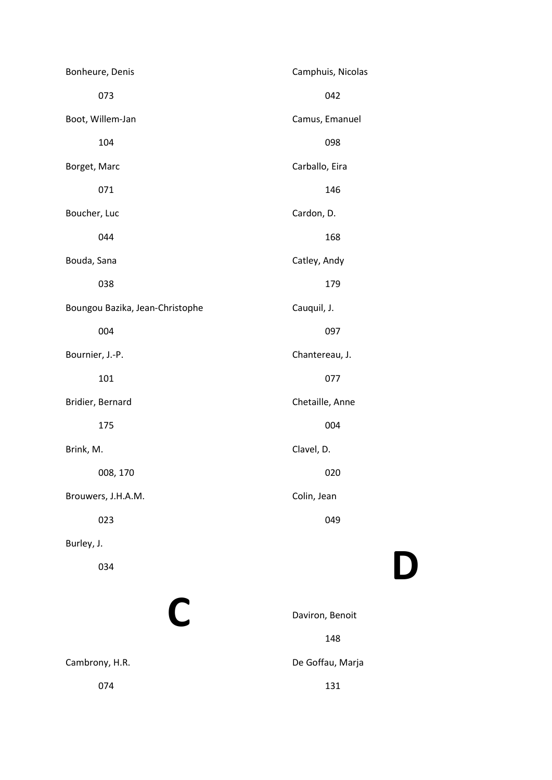| Bonheure, Denis                 | Camphuis, Nicolas |
|---------------------------------|-------------------|
| 073                             | 042               |
| Boot, Willem-Jan                | Camus, Emanuel    |
| 104                             | 098               |
| Borget, Marc                    | Carballo, Eira    |
| 071                             | 146               |
| Boucher, Luc                    | Cardon, D.        |
| 044                             | 168               |
| Bouda, Sana                     | Catley, Andy      |
| 038                             | 179               |
| Boungou Bazika, Jean-Christophe | Cauquil, J.       |
| 004                             | 097               |
| Bournier, J.-P.                 | Chantereau, J.    |
| 101                             | 077               |
| Bridier, Bernard                | Chetaille, Anne   |
| 175                             | 004               |
| Brink, M.                       | Clavel, D.        |
| 008, 170                        | 020               |
| Brouwers, J.H.A.M.              | Colin, Jean       |
| 023                             | 049               |
| Burley, J.                      |                   |
| 034                             |                   |
|                                 |                   |
| C                               | Daviron, Benoit   |
|                                 | 148               |

Cambrony, H.R.

074

D

De Goffau, Marja 131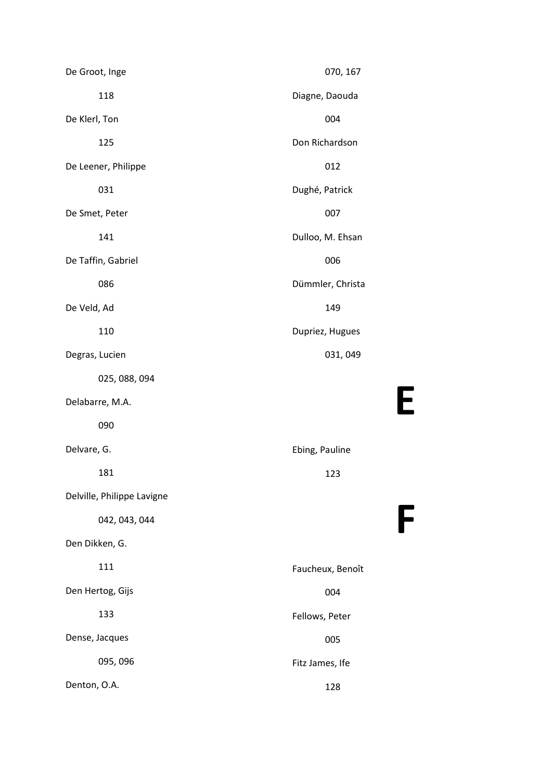| De Groot, Inge             | 070, 167         |
|----------------------------|------------------|
| 118                        | Diagne, Daouda   |
| De Klerl, Ton              | 004              |
| 125                        | Don Richardson   |
| De Leener, Philippe        | 012              |
| 031                        | Dughé, Patrick   |
| De Smet, Peter             | 007              |
| 141                        | Dulloo, M. Ehsan |
| De Taffin, Gabriel         | 006              |
| 086                        | Dümmler, Christa |
| De Veld, Ad                | 149              |
| 110                        | Dupriez, Hugues  |
| Degras, Lucien             | 031, 049         |
| 025, 088, 094              |                  |
| Delabarre, M.A.            |                  |
| 090                        |                  |
| Delvare, G.                | Ebing, Pauline   |
| 181                        | 123              |
| Delville, Philippe Lavigne |                  |
| 042, 043, 044              |                  |
| Den Dikken, G.             |                  |
| 111                        | Faucheux, Benoît |
| Den Hertog, Gijs           | 004              |
| 133                        | Fellows, Peter   |
| Dense, Jacques             | 005              |
| 095, 096                   | Fitz James, Ife  |
| Denton, O.A.               | 128              |

E

F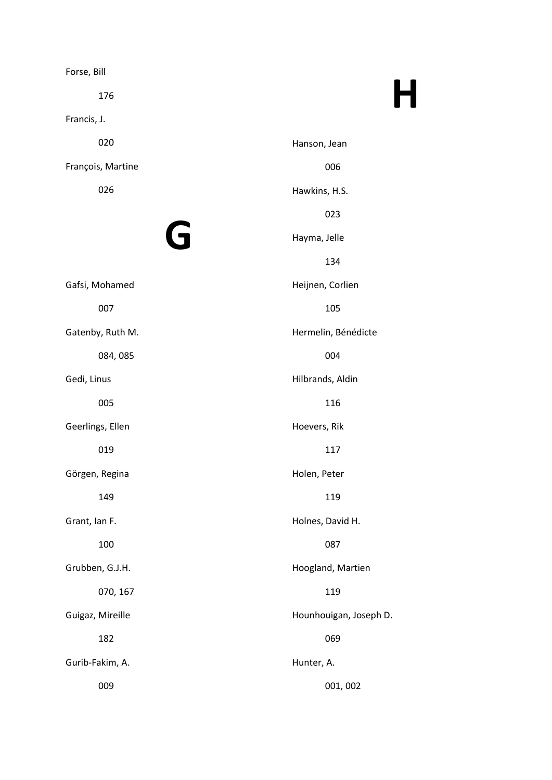| Forse, Bill       |                        |
|-------------------|------------------------|
| 176               | H                      |
| Francis, J.       |                        |
| 020               | Hanson, Jean           |
| François, Martine | 006                    |
| 026               | Hawkins, H.S.          |
|                   | 023                    |
| G                 | Hayma, Jelle           |
|                   | 134                    |
| Gafsi, Mohamed    | Heijnen, Corlien       |
| 007               | 105                    |
| Gatenby, Ruth M.  | Hermelin, Bénédicte    |
| 084,085           | 004                    |
| Gedi, Linus       | Hilbrands, Aldin       |
| 005               | 116                    |
| Geerlings, Ellen  | Hoevers, Rik           |
| 019               | 117                    |
| Görgen, Regina    | Holen, Peter           |
| 149               | 119                    |
| Grant, Ian F.     | Holnes, David H.       |
| 100               | 087                    |
| Grubben, G.J.H.   | Hoogland, Martien      |
| 070, 167          | 119                    |
| Guigaz, Mireille  | Hounhouigan, Joseph D. |
| 182               | 069                    |
| Gurib-Fakim, A.   | Hunter, A.             |
| 009               | 001,002                |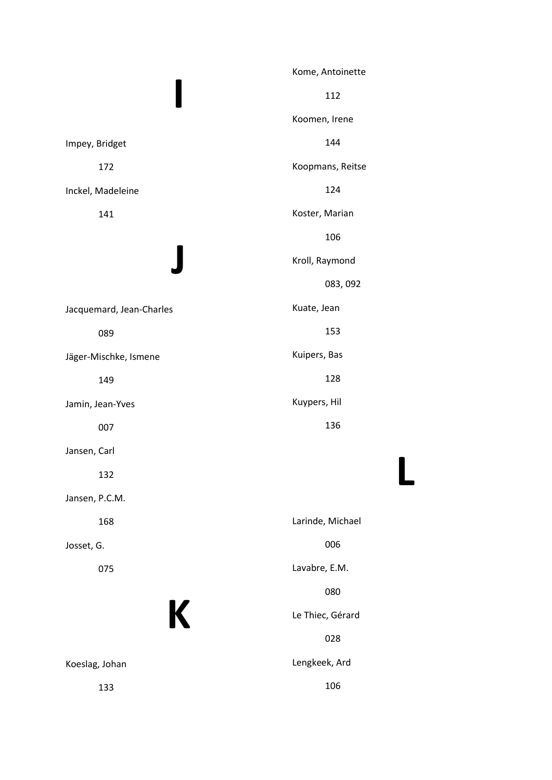|                          | Kome, Antoinette |
|--------------------------|------------------|
|                          | 112              |
|                          | Koomen, Irene    |
| Impey, Bridget           | 144              |
| 172                      | Koopmans, Reitse |
| Inckel, Madeleine        | 124              |
| 141                      | Koster, Marian   |
|                          | 106              |
|                          | Kroll, Raymond   |
|                          | 083, 092         |
| Jacquemard, Jean-Charles | Kuate, Jean      |
| 089                      | 153              |
| Jäger-Mischke, Ismene    | Kuipers, Bas     |
| 149                      | 128              |
| Jamin, Jean-Yves         | Kuypers, Hil     |
| 007                      | 136              |
| Jansen, Carl             |                  |
| 132                      |                  |
| Jansen, P.C.M.           |                  |
| 168                      | Larinde, Michael |
| Josset, G.               | 006              |
| 075                      | Lavabre, E.M.    |
|                          | 080              |
| K                        | Le Thiec, Gérard |
|                          | 028              |
| Koeslag, Johan           | Lengkeek, Ard    |
| 133                      | 106              |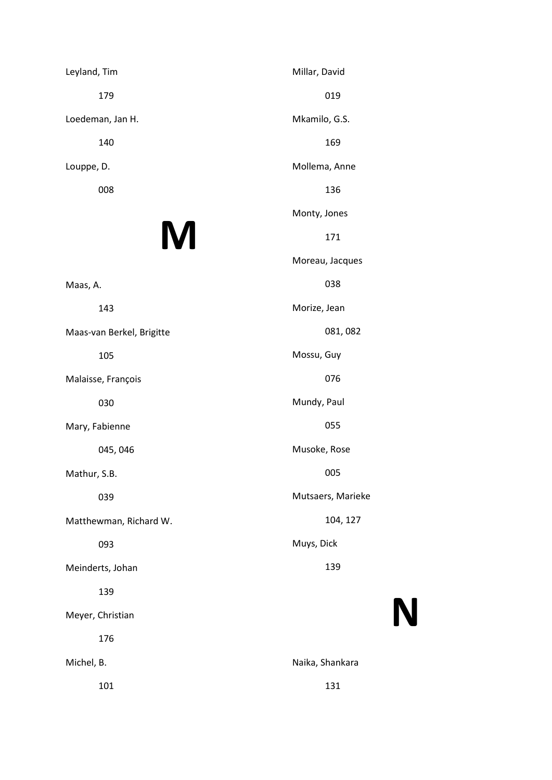Leyland, Tim 179 Loedeman, Jan H. 140 Louppe, D. 008

### M

Maas, A. 143

Maas-van Berkel, Brigitte

105

Malaisse, François

030

Mary, Fabienne

045, 046

Mathur, S.B.

039

Matthewman, Richard W.

093

Meinderts, Johan

139

Meyer, Christian

176

Michel, B.

101

Millar, David 019 Mkamilo, G.S. 169 Mollema, Anne 136 Monty, Jones 171 Moreau, Jacques 038 Morize, Jean 081, 082 Mossu, Guy 076 Mundy, Paul 055 Musoke, Rose 005 Mutsaers, Marieke 104, 127 Muys, Dick 139

# N

Naika, Shankara 131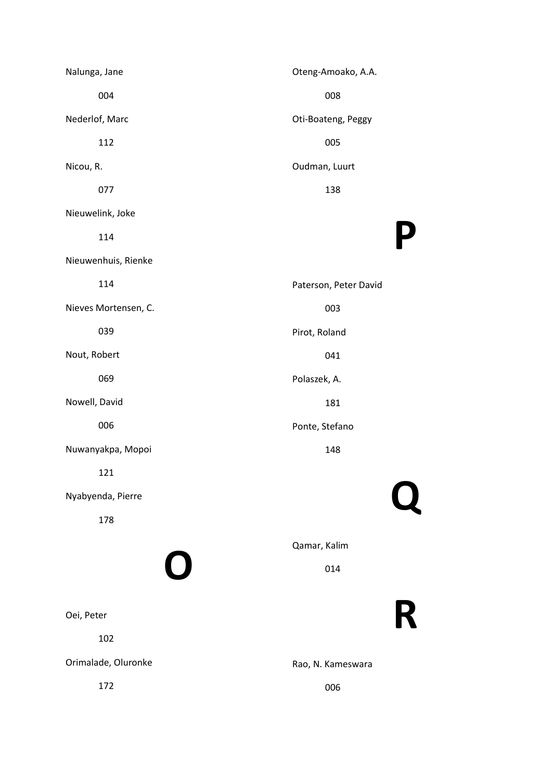Nalunga, Jane 004 Nederlof, Marc 112 Nicou, R. 077 Nieuwelink, Joke 114 Nieuwenhuis, Rienke 114 Nieves Mortensen, C. 039 Nout, Robert 069 Nowell, David 006 Nuwanyakpa, Mopoi 121 Nyabyenda, Pierre 178 O Oei, Peter 102 Orimalade, Oluronke 172 Oteng-Amoako, A.A. 008 Oti-Boateng, Peggy 005 Oudman, Luurt 138 P Paterson, Peter David 003 Pirot, Roland 041 Polaszek, A. 181 Ponte, Stefano 148 Q Qamar, Kalim 014 R Rao, N. Kameswara 006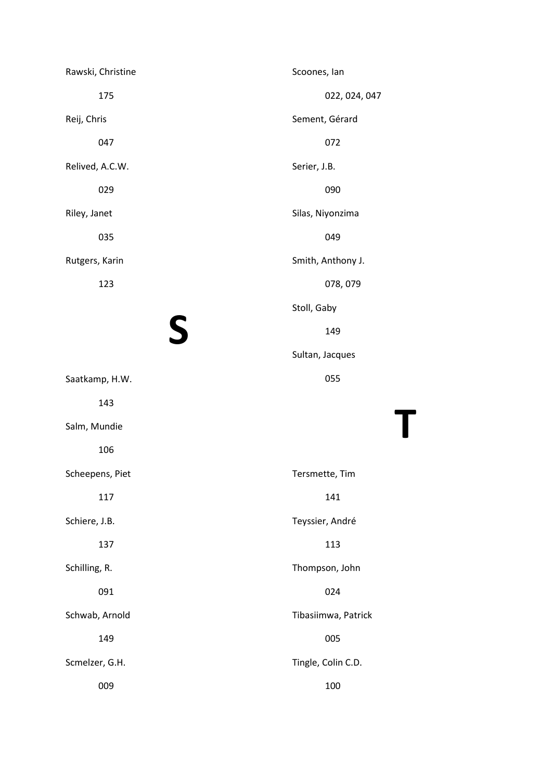| Rawski, Christine | Scoones, lan        |
|-------------------|---------------------|
| 175               | 022, 024, 047       |
| Reij, Chris       | Sement, Gérard      |
| 047               | 072                 |
| Relived, A.C.W.   | Serier, J.B.        |
| 029               | 090                 |
| Riley, Janet      | Silas, Niyonzima    |
| 035               | 049                 |
| Rutgers, Karin    | Smith, Anthony J.   |
| 123               | 078, 079            |
|                   | Stoll, Gaby         |
| S                 | 149                 |
|                   | Sultan, Jacques     |
| Saatkamp, H.W.    | 055                 |
| 143               |                     |
| Salm, Mundie      |                     |
| 106               |                     |
| Scheepens, Piet   | Tersmette, Tim      |
| 117               | 141                 |
| Schiere, J.B.     | Teyssier, André     |
| 137               | 113                 |
| Schilling, R.     | Thompson, John      |
| 091               | 024                 |
| Schwab, Arnold    | Tibasiimwa, Patrick |
| 149               | 005                 |
| Scmelzer, G.H.    | Tingle, Colin C.D.  |
| 009               | 100                 |

T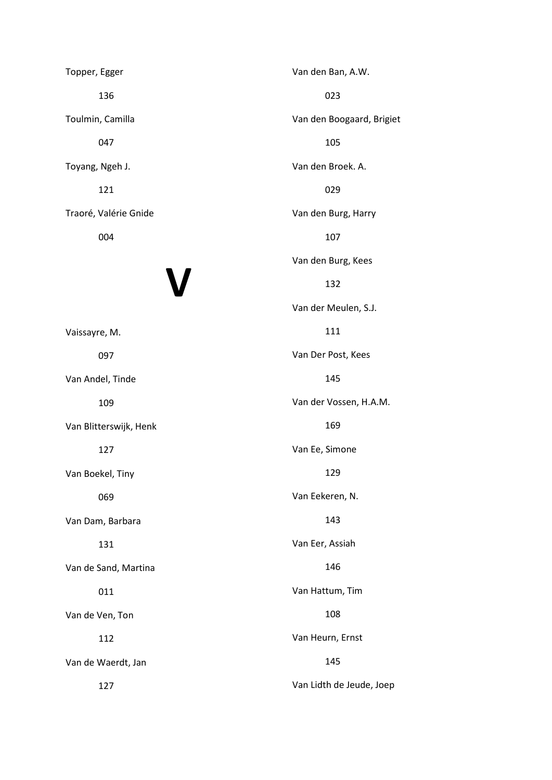Topper, Egger 136 Toulmin, Camilla 047 Toyang, Ngeh J. 121 Traoré, Valérie Gnide 004

# V

Vaissayre, M. 097 Van Andel, Tinde 109 Van Blitterswijk, Henk 127 Van Boekel, Tiny 069 Van Dam, Barbara 131 Van de Sand, Martina 011 Van de Ven, Ton 112 Van de Waerdt, Jan

Van den Ban, A.W. 023 Van den Boogaard, Brigiet 105 Van den Broek. A. 029 Van den Burg, Harry 107 Van den Burg, Kees 132 Van der Meulen, S.J. 111 Van Der Post, Kees 145 Van der Vossen, H.A.M. 169 Van Ee, Simone 129 Van Eekeren, N. 143 Van Eer, Assiah 146 Van Hattum, Tim 108 Van Heurn, Ernst 145

Van Lidth de Jeude, Joep

127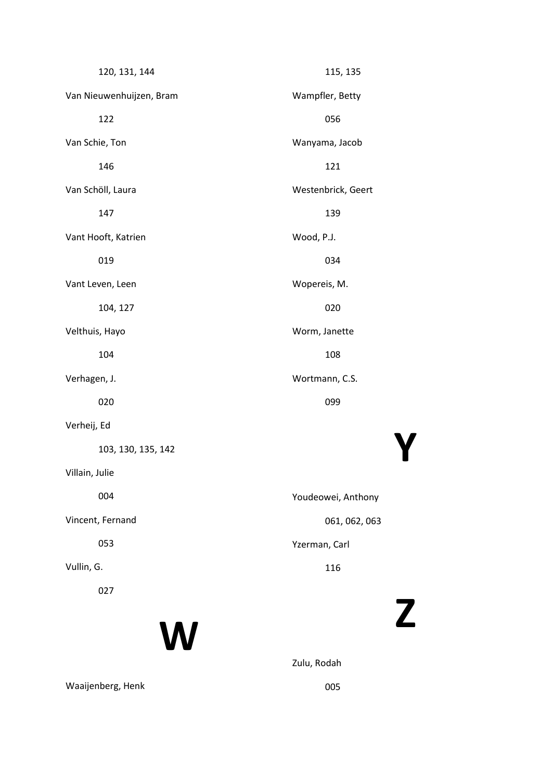| 120, 131, 144            | 115, 135           |
|--------------------------|--------------------|
| Van Nieuwenhuijzen, Bram | Wampfler, Betty    |
| 122                      | 056                |
| Van Schie, Ton           | Wanyama, Jacob     |
| 146                      | 121                |
| Van Schöll, Laura        | Westenbrick, Geert |
| 147                      | 139                |
| Vant Hooft, Katrien      | Wood, P.J.         |
| 019                      | 034                |
| Vant Leven, Leen         | Wopereis, M.       |
| 104, 127                 | 020                |
| Velthuis, Hayo           | Worm, Janette      |
| 104                      | 108                |
| Verhagen, J.             | Wortmann, C.S.     |
| 020                      | 099                |
| Verheij, Ed              |                    |
| 103, 130, 135, 142       |                    |
| Villain, Julie           |                    |
| 004                      | Youdeowei, Anthony |
| Vincent, Fernand         | 061, 062, 063      |
| 053                      | Yzerman, Carl      |
| Vullin, G.               | 116                |
| 027                      |                    |
|                          |                    |

W

Zulu, Rodah

Waaijenberg, Henk

005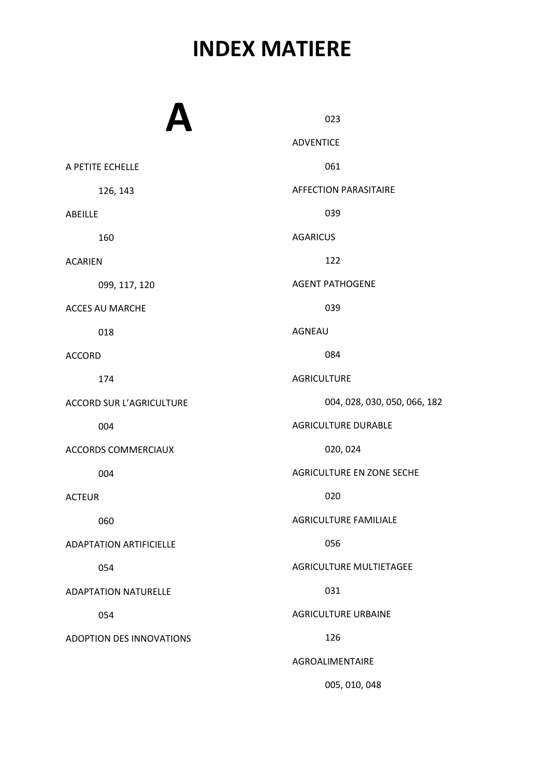### INDEX MATIERE

|                                 | 023                              |
|---------------------------------|----------------------------------|
|                                 | <b>ADVENTICE</b>                 |
| A PETITE ECHELLE                | 061                              |
| 126, 143                        | <b>AFFECTION PARASITAIRE</b>     |
|                                 | 039                              |
| ABEILLE                         |                                  |
| 160                             | <b>AGARICUS</b>                  |
| <b>ACARIEN</b>                  | 122                              |
| 099, 117, 120                   | <b>AGENT PATHOGENE</b>           |
| ACCES AU MARCHE                 | 039                              |
| 018                             | <b>AGNEAU</b>                    |
| <b>ACCORD</b>                   | 084                              |
| 174                             | <b>AGRICULTURE</b>               |
| <b>ACCORD SUR L'AGRICULTURE</b> | 004, 028, 030, 050, 066, 182     |
| 004                             | <b>AGRICULTURE DURABLE</b>       |
| <b>ACCORDS COMMERCIAUX</b>      | 020, 024                         |
| 004                             | <b>AGRICULTURE EN ZONE SECHE</b> |
| <b>ACTEUR</b>                   | 020                              |
| 060                             | <b>AGRICULTURE FAMILIALE</b>     |
| <b>ADAPTATION ARTIFICIELLE</b>  | 056                              |
| 054                             | AGRICULTURE MULTIETAGEE          |
| <b>ADAPTATION NATURELLE</b>     | 031                              |
| 054                             | <b>AGRICULTURE URBAINE</b>       |
| ADOPTION DES INNOVATIONS        | 126                              |
|                                 | AGROALIMENTAIRE                  |
|                                 | 005, 010, 048                    |
|                                 |                                  |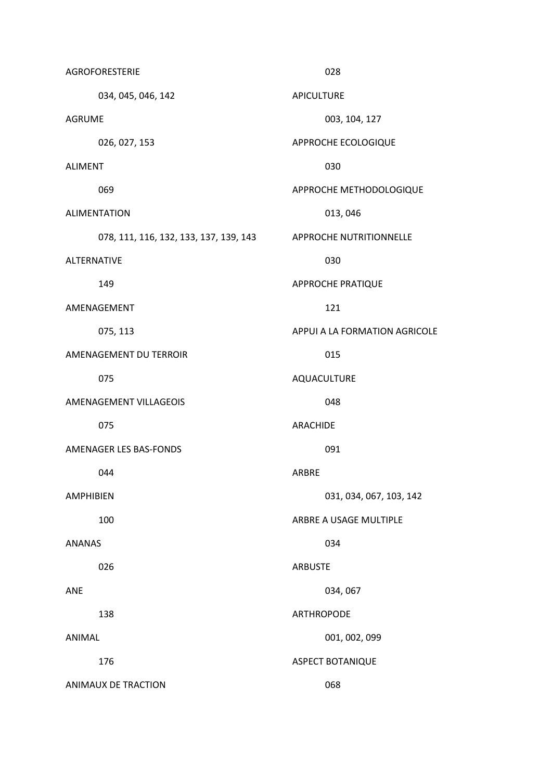| <b>AGROFORESTERIE</b>      |                                        |                | 028                            |
|----------------------------|----------------------------------------|----------------|--------------------------------|
| 034, 045, 046, 142         |                                        | APICULTURE     |                                |
| <b>AGRUME</b>              |                                        |                | 003, 104, 127                  |
| 026, 027, 153              |                                        |                | APPROCHE ECOLOGIQUE            |
| <b>ALIMENT</b>             |                                        |                | 030                            |
| 069                        |                                        |                | APPROCHE METHODOLOGIQUE        |
| <b>ALIMENTATION</b>        |                                        |                | 013, 046                       |
|                            | 078, 111, 116, 132, 133, 137, 139, 143 |                | <b>APPROCHE NUTRITIONNELLE</b> |
| <b>ALTERNATIVE</b>         |                                        |                | 030                            |
| 149                        |                                        |                | <b>APPROCHE PRATIQUE</b>       |
| AMENAGEMENT                |                                        |                | 121                            |
| 075, 113                   |                                        |                | APPUI A LA FORMATION AGRICOLE  |
| AMENAGEMENT DU TERROIR     |                                        |                | 015                            |
| 075                        |                                        |                | AQUACULTURE                    |
| AMENAGEMENT VILLAGEOIS     |                                        |                | 048                            |
| 075                        |                                        | ARACHIDE       |                                |
| AMENAGER LES BAS-FONDS     |                                        |                | 091                            |
| 044                        |                                        | ARBRE          |                                |
| <b>AMPHIBIEN</b>           |                                        |                | 031, 034, 067, 103, 142        |
| 100                        |                                        |                | ARBRE A USAGE MULTIPLE         |
| <b>ANANAS</b>              |                                        |                | 034                            |
| 026                        |                                        | <b>ARBUSTE</b> |                                |
| <b>ANE</b>                 |                                        |                | 034,067                        |
| 138                        |                                        |                | <b>ARTHROPODE</b>              |
| ANIMAL                     |                                        |                | 001, 002, 099                  |
| 176                        |                                        |                | ASPECT BOTANIQUE               |
| <b>ANIMAUX DE TRACTION</b> |                                        |                | 068                            |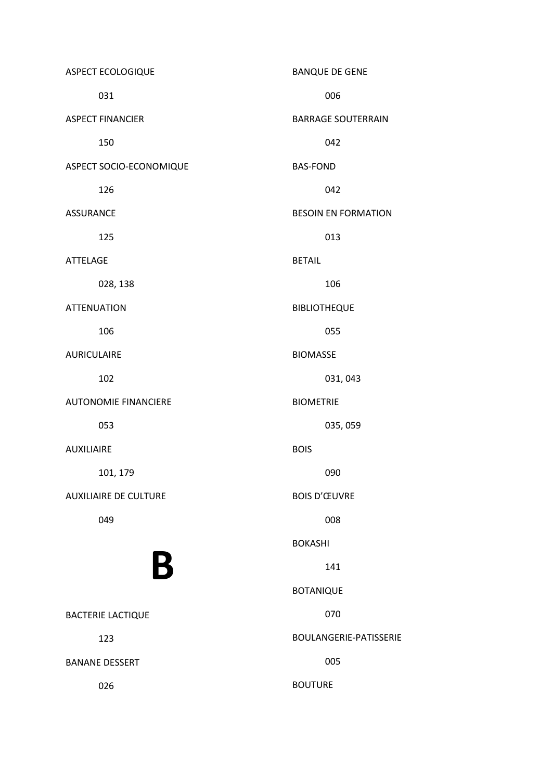ASPECT ECOLOGIQUE 031 ASPECT FINANCIER 150 ASPECT SOCIO-ECONOMIQUE 126 ASSURANCE 125 ATTELAGE 028, 138 ATTENUATION 106 AURICULAIRE 102 AUTONOMIE FINANCIERE 053 AUXILIAIRE 101, 179 AUXILIAIRE DE CULTURE 049 B BACTERIE LACTIQUE 123 BANANE DESSERT 026 BANQUE DE GENE 006 BARRAGE SOUTERRAIN 042 BAS-FOND 042 BESOIN EN FORMATION 013 BETAIL 106 BIBLIOTHEQUE 055 BIOMASSE 031, 043 BIOMETRIE 035, 059 BOIS 090 BOIS D'ŒUVRE 008 BOKASHI 141 BOTANIQUE 070 BOULANGERIE-PATISSERIE 005 BOUTURE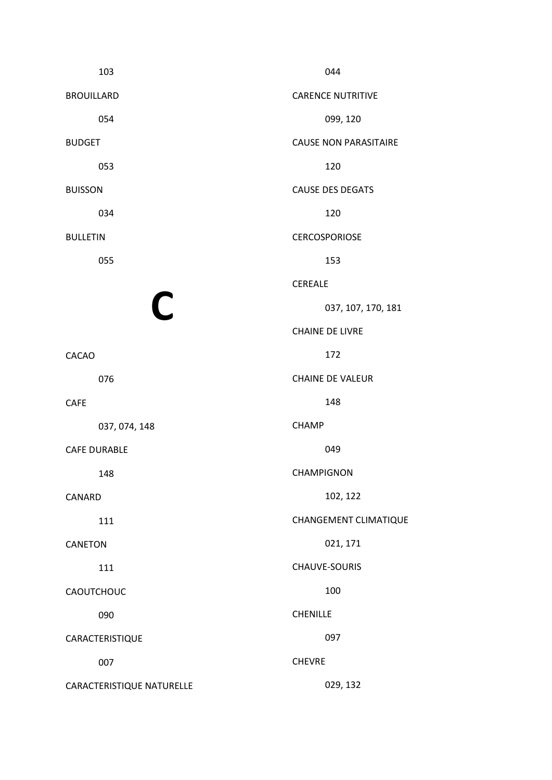| 103                       | 044                          |
|---------------------------|------------------------------|
| <b>BROUILLARD</b>         | <b>CARENCE NUTRITIVE</b>     |
| 054                       | 099, 120                     |
| <b>BUDGET</b>             | <b>CAUSE NON PARASITAIRE</b> |
| 053                       | 120                          |
| <b>BUISSON</b>            | <b>CAUSE DES DEGATS</b>      |
| 034                       | 120                          |
| <b>BULLETIN</b>           | <b>CERCOSPORIOSE</b>         |
| 055                       | 153                          |
|                           | <b>CEREALE</b>               |
| $\mathsf C$               | 037, 107, 170, 181           |
|                           | <b>CHAINE DE LIVRE</b>       |
| <b>CACAO</b>              | 172                          |
| 076                       | <b>CHAINE DE VALEUR</b>      |
| <b>CAFE</b>               | 148                          |
| 037, 074, 148             | <b>CHAMP</b>                 |
| <b>CAFE DURABLE</b>       | 049                          |
| 148                       | CHAMPIGNON                   |
| CANARD                    | 102, 122                     |
| 111                       | CHANGEMENT CLIMATIQUE        |
| <b>CANETON</b>            | 021, 171                     |
| 111                       | CHAUVE-SOURIS                |
| CAOUTCHOUC                | 100                          |
| 090                       | <b>CHENILLE</b>              |
| CARACTERISTIQUE           | 097                          |
| 007                       | <b>CHEVRE</b>                |
| CARACTERISTIQUE NATURELLE | 029, 132                     |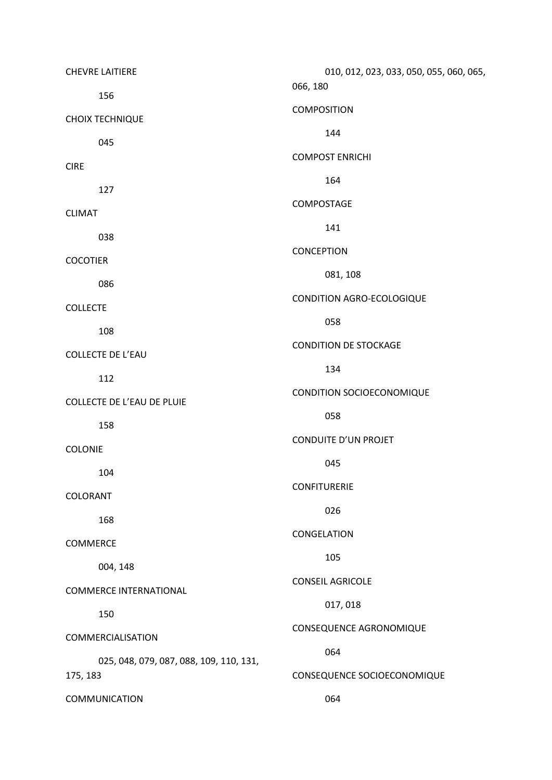| <b>CHEVRE LAITIERE</b>                  | 010, 012, 023, 033, 050, 055, 060, 065, |
|-----------------------------------------|-----------------------------------------|
| 156                                     | 066, 180                                |
| <b>CHOIX TECHNIQUE</b>                  | COMPOSITION                             |
| 045                                     | 144                                     |
| <b>CIRE</b>                             | <b>COMPOST ENRICHI</b>                  |
| 127                                     | 164                                     |
| <b>CLIMAT</b>                           | COMPOSTAGE                              |
| 038                                     | 141                                     |
| <b>COCOTIER</b>                         | <b>CONCEPTION</b>                       |
| 086                                     | 081, 108                                |
| <b>COLLECTE</b>                         | CONDITION AGRO-ECOLOGIQUE               |
| 108                                     | 058                                     |
| <b>COLLECTE DE L'EAU</b>                | <b>CONDITION DE STOCKAGE</b>            |
| 112                                     | 134                                     |
| <b>COLLECTE DE L'EAU DE PLUIE</b>       | CONDITION SOCIOECONOMIQUE               |
| 158                                     | 058                                     |
| COLONIE                                 | CONDUITE D'UN PROJET                    |
|                                         | 045                                     |
| 104                                     | <b>CONFITURERIE</b>                     |
| COLORANT                                | 026                                     |
| 168                                     | CONGELATION                             |
| COMMERCE                                | 105                                     |
| 004, 148                                | <b>CONSEIL AGRICOLE</b>                 |
| <b>COMMERCE INTERNATIONAL</b>           | 017,018                                 |
| 150                                     | CONSEQUENCE AGRONOMIQUE                 |
| COMMERCIALISATION                       |                                         |
| 025, 048, 079, 087, 088, 109, 110, 131, | 064                                     |
| 175, 183                                | CONSEQUENCE SOCIOECONOMIQUE             |
| <b>COMMUNICATION</b>                    | 064                                     |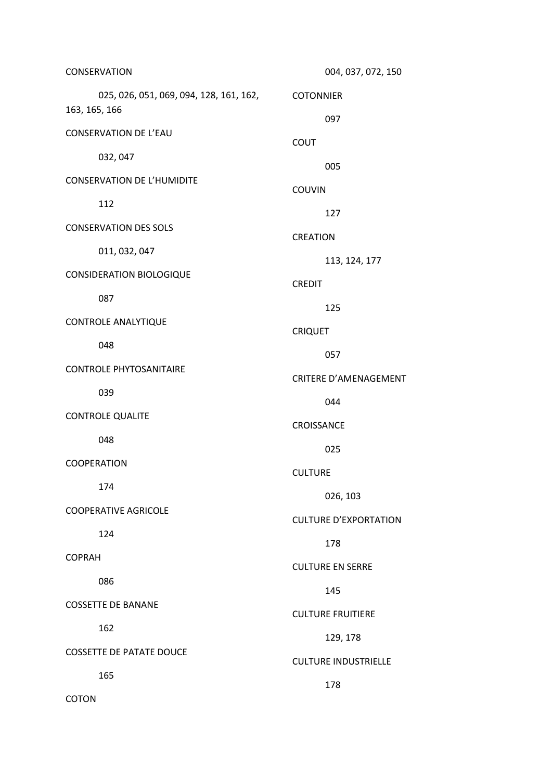| CONSERVATION                                                       | 004, 037, 072, 150                  |
|--------------------------------------------------------------------|-------------------------------------|
| 025, 026, 051, 069, 094, 128, 161, 162, COTONNIER<br>163, 165, 166 |                                     |
| <b>CONSERVATION DE L'EAU</b>                                       | 097                                 |
| 032, 047                                                           | <b>COUT</b>                         |
| <b>CONSERVATION DE L'HUMIDITE</b>                                  | 005                                 |
| 112                                                                | <b>COUVIN</b>                       |
| <b>CONSERVATION DES SOLS</b>                                       | 127                                 |
| 011, 032, 047                                                      | <b>CREATION</b>                     |
| <b>CONSIDERATION BIOLOGIQUE</b>                                    | 113, 124, 177                       |
| 087                                                                | <b>CREDIT</b>                       |
| CONTROLE ANALYTIQUE                                                | 125                                 |
| 048                                                                | <b>CRIQUET</b>                      |
| <b>CONTROLE PHYTOSANITAIRE</b>                                     | 057<br><b>CRITERE D'AMENAGEMENT</b> |
| 039                                                                | 044                                 |
| <b>CONTROLE QUALITE</b>                                            | CROISSANCE                          |
| 048                                                                | 025                                 |
| COOPERATION                                                        | <b>CULTURE</b>                      |
| 174                                                                | 026, 103                            |
| <b>COOPERATIVE AGRICOLE</b>                                        | <b>CULTURE D'EXPORTATION</b>        |
| 124                                                                | 178                                 |
| <b>COPRAH</b>                                                      | <b>CULTURE EN SERRE</b>             |
| 086                                                                | 145                                 |
| <b>COSSETTE DE BANANE</b>                                          | <b>CULTURE FRUITIERE</b>            |
| 162                                                                | 129, 178                            |
| <b>COSSETTE DE PATATE DOUCE</b>                                    | <b>CULTURE INDUSTRIELLE</b>         |
| 165                                                                | 178                                 |
| <b>COTON</b>                                                       |                                     |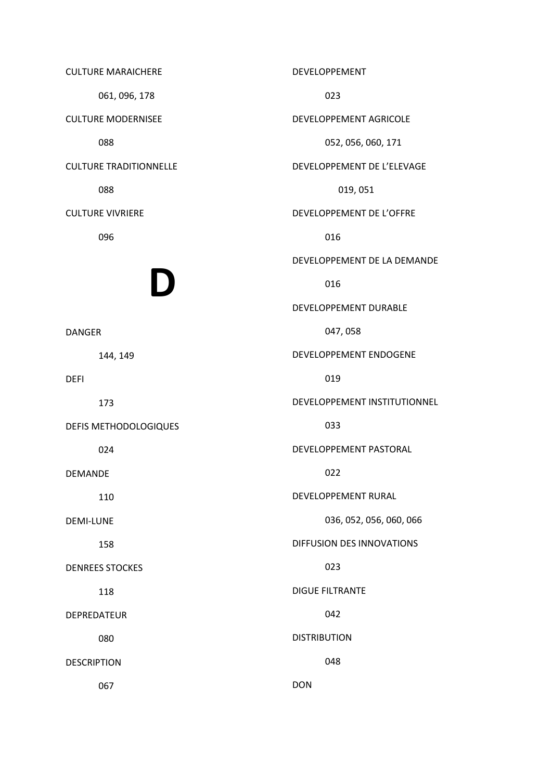CULTURE MARAICHERE 061, 096, 178 CULTURE MODERNISEE 088 CULTURE TRADITIONNELLE 088 CULTURE VIVRIERE 096 D DANGER 144, 149 DEFI 173 DEFIS METHODOLOGIQUES 024 DEMANDE 110 DEMI-LUNE 158 DENREES STOCKES 118 DEPREDATEUR 080 DESCRIPTION 067 DEVELOPPEMENT 023 DEVELOPPEMENT AGRICOLE 052, 056, 060, 171 DEVELOPPEMENT DE L'ELEVAGE 019, 051 DEVELOPPEMENT DE L'OFFRE 016 DEVELOPPEMENT DE LA DEMANDE 016 DEVELOPPEMENT DURABLE 047, 058 DEVELOPPEMENT ENDOGENE 019 DEVELOPPEMENT INSTITUTIONNEL 033 DEVELOPPEMENT PASTORAL 022 DEVELOPPEMENT RURAL 036, 052, 056, 060, 066 DIFFUSION DES INNOVATIONS 023 DIGUE FILTRANTE 042 DISTRIBUTION 048 DON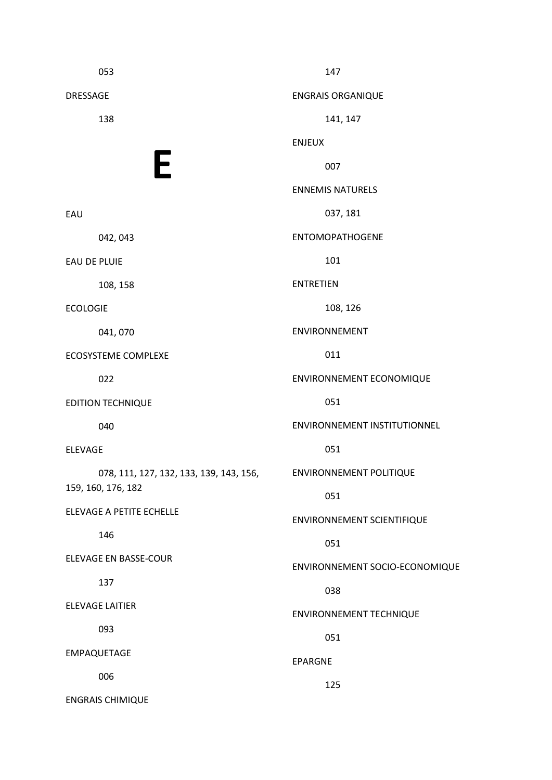053 DRESSAGE 138 E EAU 042, 043 EAU DE PLUIE 108, 158 ECOLOGIE 041, 070 ECOSYSTEME COMPLEXE 022 EDITION TECHNIQUE 040 ELEVAGE 078, 111, 127, 132, 133, 139, 143, 156, 159, 160, 176, 182 ELEVAGE A PETITE ECHELLE 146 ELEVAGE EN BASSE-COUR 137 ELEVAGE LAITIER 093 EMPAQUETAGE 006 ENGRAIS CHIMIQUE 147 ENGRAIS ORGANIQUE 141, 147 ENJEUX 007 ENNEMIS NATURELS 037, 181 ENTOMOPATHOGENE 101 ENTRETIEN 108, 126 ENVIRONNEMENT 011 ENVIRONNEMENT ECONOMIQUE 051 ENVIRONNEMENT INSTITUTIONNEL 051 ENVIRONNEMENT POLITIQUE 051 ENVIRONNEMENT SCIENTIFIQUE 051 ENVIRONNEMENT SOCIO-ECONOMIQUE 038 ENVIRONNEMENT TECHNIQUE 051 EPARGNE 125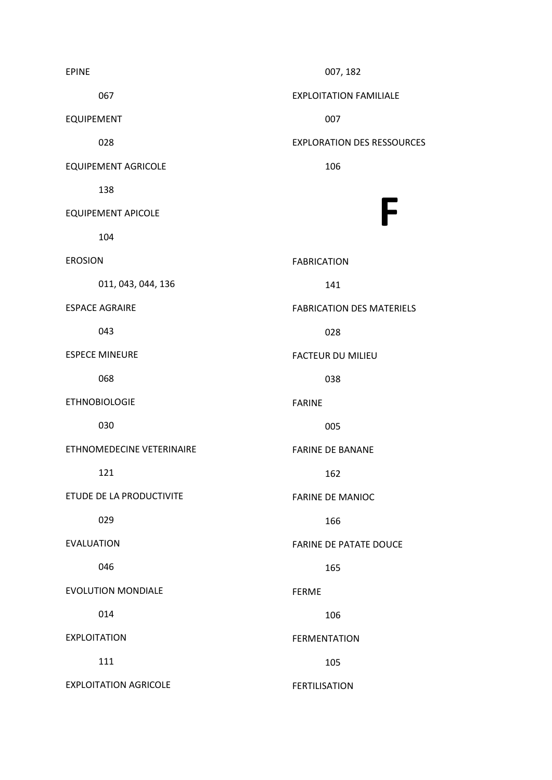EPINE 067 EQUIPEMENT 028 EQUIPEMENT AGRICOLE 138 EQUIPEMENT APICOLE 104 EROSION 011, 043, 044, 136 ESPACE AGRAIRE 043 ESPECE MINEURE 068 ETHNOBIOLOGIE 030 ETHNOMEDECINE VETERINAIRE 121 ETUDE DE LA PRODUCTIVITE 029 EVALUATION 046 EVOLUTION MONDIALE 014 EXPLOITATION 111 EXPLOITATION AGRICOLE 007, 182 EXPLOITATION FAMILIALE 007 EXPLORATION DES RESSOURCES 106 F FABRICATION 141 FABRICATION DES MATERIELS 028 FACTEUR DU MILIEU 038 FARINE 005 FARINE DE BANANE 162 FARINE DE MANIOC 166 FARINE DE PATATE DOUCE 165 FERME 106 FERMENTATION 105 FERTILISATION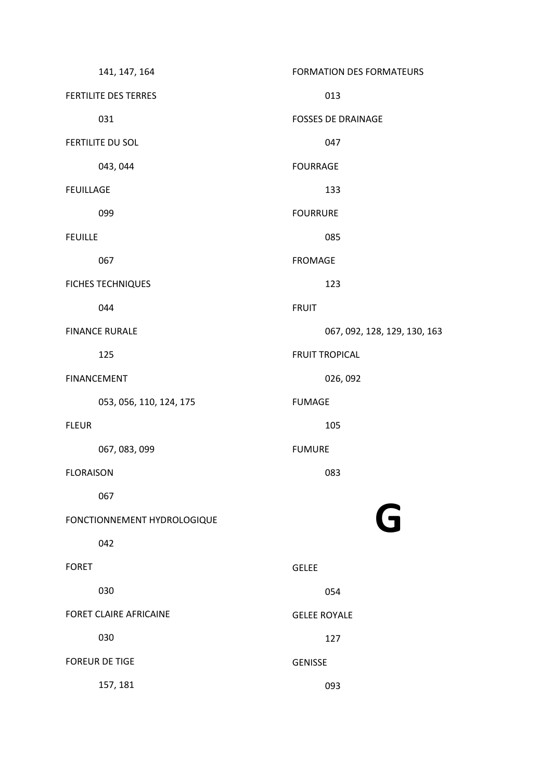| 141, 147, 164               | FORMATION DES FORMATEURS     |
|-----------------------------|------------------------------|
| FERTILITE DES TERRES        | 013                          |
| 031                         | <b>FOSSES DE DRAINAGE</b>    |
| <b>FERTILITE DU SOL</b>     | 047                          |
| 043, 044                    | <b>FOURRAGE</b>              |
| <b>FEUILLAGE</b>            | 133                          |
| 099                         | <b>FOURRURE</b>              |
| <b>FEUILLE</b>              | 085                          |
| 067                         | <b>FROMAGE</b>               |
| <b>FICHES TECHNIQUES</b>    | 123                          |
| 044                         | <b>FRUIT</b>                 |
| <b>FINANCE RURALE</b>       | 067, 092, 128, 129, 130, 163 |
| 125                         | <b>FRUIT TROPICAL</b>        |
| <b>FINANCEMENT</b>          | 026, 092                     |
| 053, 056, 110, 124, 175     | <b>FUMAGE</b>                |
| <b>FLEUR</b>                | 105                          |
| 067, 083, 099               | <b>FUMURE</b>                |
| <b>FLORAISON</b>            | 083                          |
| 067                         |                              |
| FONCTIONNEMENT HYDROLOGIQUE | G                            |
| 042                         |                              |
| <b>FORET</b>                | <b>GELEE</b>                 |
| 030                         | 054                          |
| FORET CLAIRE AFRICAINE      | <b>GELEE ROYALE</b>          |
| 030                         | 127                          |
| <b>FOREUR DE TIGE</b>       | <b>GENISSE</b>               |
| 157, 181                    | 093                          |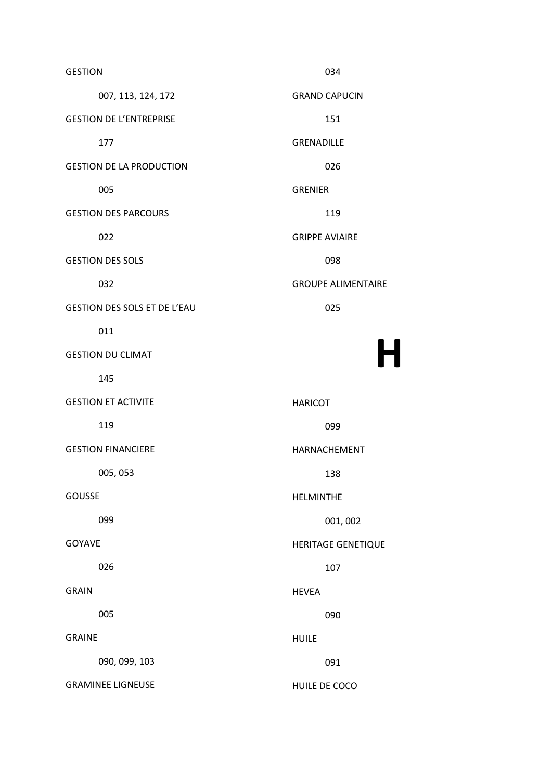GESTION 007, 113, 124, 172 GESTION DE L'ENTREPRISE 177 GESTION DE LA PRODUCTION 005 GESTION DES PARCOURS 022 GESTION DES SOLS 032 GESTION DES SOLS ET DE L'EAU 011 GESTION DU CLIMAT 145 GESTION ET ACTIVITE 119 GESTION FINANCIERE 005, 053 GOUSSE 099 GOYAVE 026 GRAIN 005 GRAINE 090, 099, 103 GRAMINEE LIGNEUSE 034 GRAND CAPUCIN 151 GRENADILLE 026 GRENIER 119 GRIPPE AVIAIRE 098 GROUPE ALIMENTAIRE 025 HARICOT 099 HARNACHEMENT 138 HELMINTHE 001, 002 HERITAGE GENETIQUE 107 HEVEA 090 HUILE 091 HUILE DE COCO

H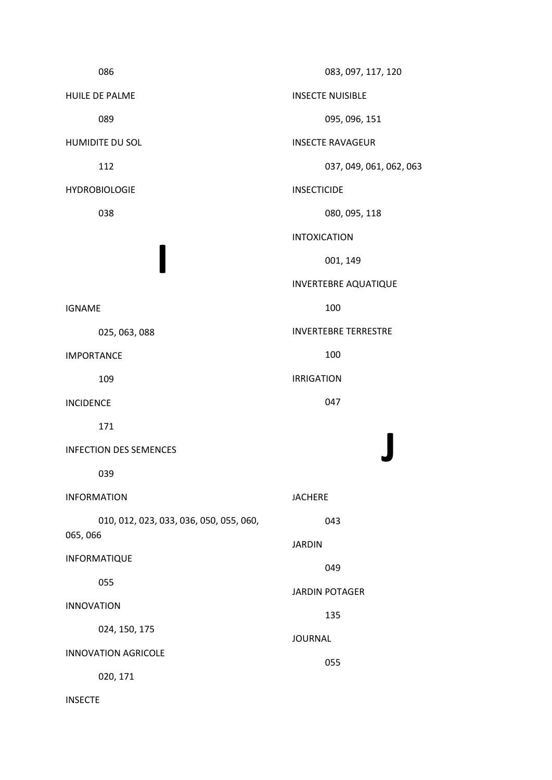086 HUILE DE PALME 089 HUMIDITE DU SOL 112 HYDROBIOLOGIE 038 I IGNAME 025, 063, 088 IMPORTANCE 109 INCIDENCE 171 INFECTION DES SEMENCES 039 INFORMATION 010, 012, 023, 033, 036, 050, 055, 060, 065, 066 INFORMATIQUE 055 INNOVATION 024, 150, 175 INNOVATION AGRICOLE 020, 171 INSECTE 083, 097, 117, 120 INSECTE NUISIBLE 095, 096, 151 INSECTE RAVAGEUR 037, 049, 061, 062, 063 INSECTICIDE 080, 095, 118 INTOXICATION 001, 149 INVERTEBRE AQUATIQUE 100 INVERTEBRE TERRESTRE 100 IRRIGATION 047 J JACHERE 043 JARDIN 049 JARDIN POTAGER 135 JOURNAL 055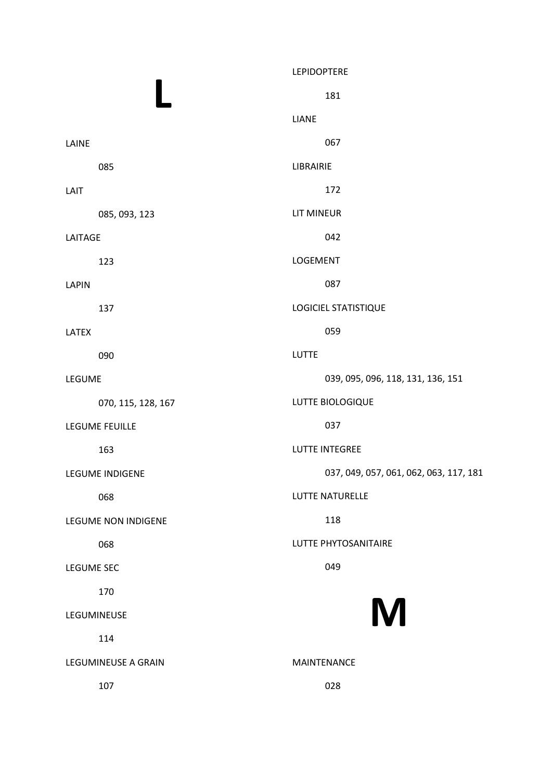|                            | LEPIDOPTERE                            |
|----------------------------|----------------------------------------|
|                            | 181                                    |
|                            | <b>LIANE</b>                           |
| LAINE                      | 067                                    |
| 085                        | LIBRAIRIE                              |
| LAIT                       | 172                                    |
| 085, 093, 123              | <b>LIT MINEUR</b>                      |
| LAITAGE                    | 042                                    |
| 123                        | LOGEMENT                               |
| <b>LAPIN</b>               | 087                                    |
| 137                        | <b>LOGICIEL STATISTIQUE</b>            |
| LATEX                      | 059                                    |
| 090                        | <b>LUTTE</b>                           |
| LEGUME                     | 039, 095, 096, 118, 131, 136, 151      |
| 070, 115, 128, 167         | LUTTE BIOLOGIQUE                       |
| LEGUME FEUILLE             | 037                                    |
| 163                        | <b>LUTTE INTEGREE</b>                  |
| LEGUME INDIGENE            | 037, 049, 057, 061, 062, 063, 117, 181 |
| 068                        | LUTTE NATURELLE                        |
| <b>LEGUME NON INDIGENE</b> | 118                                    |
| 068                        | LUTTE PHYTOSANITAIRE                   |
| <b>LEGUME SEC</b>          | 049                                    |
| 170                        |                                        |
| LEGUMINEUSE                | M                                      |
| 114                        |                                        |
| <b>LEGUMINEUSE A GRAIN</b> | <b>MAINTENANCE</b>                     |
| 107                        | 028                                    |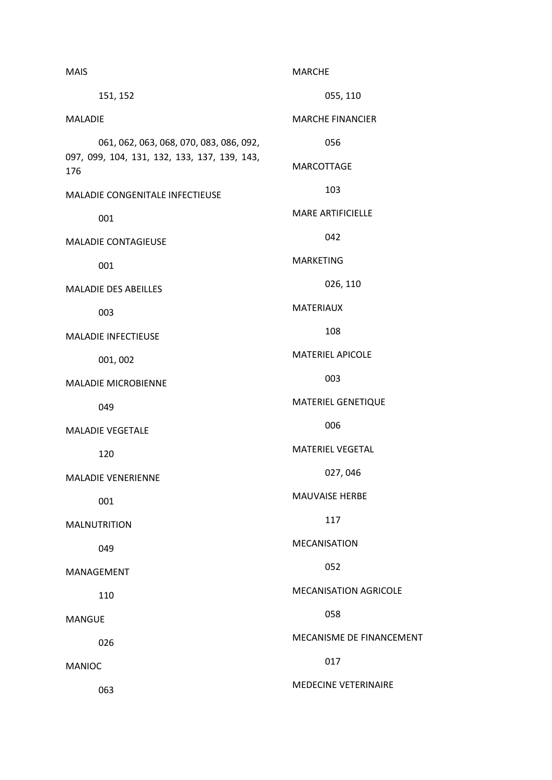| <b>MAIS</b>                                         | <b>MARCHE</b>                |
|-----------------------------------------------------|------------------------------|
| 151, 152                                            | 055, 110                     |
| <b>MALADIE</b>                                      | <b>MARCHE FINANCIER</b>      |
| 061, 062, 063, 068, 070, 083, 086, 092,             | 056                          |
| 097, 099, 104, 131, 132, 133, 137, 139, 143,<br>176 | MARCOTTAGE                   |
| MALADIE CONGENITALE INFECTIEUSE                     | 103                          |
| 001                                                 | <b>MARE ARTIFICIELLE</b>     |
| <b>MALADIE CONTAGIEUSE</b>                          | 042                          |
| 001                                                 | <b>MARKETING</b>             |
| <b>MALADIE DES ABEILLES</b>                         | 026, 110                     |
| 003                                                 | <b>MATERIAUX</b>             |
| MALADIE INFECTIEUSE                                 | 108                          |
| 001, 002                                            | <b>MATERIEL APICOLE</b>      |
| <b>MALADIE MICROBIENNE</b>                          | 003                          |
| 049                                                 | MATERIEL GENETIQUE           |
| <b>MALADIE VEGETALE</b>                             | 006                          |
| 120                                                 | <b>MATERIEL VEGETAL</b>      |
| <b>MALADIE VENERIENNE</b>                           | 027,046                      |
| 001                                                 | <b>MAUVAISE HERBE</b>        |
| <b>MALNUTRITION</b>                                 | 117                          |
| 049                                                 | <b>MECANISATION</b>          |
| MANAGEMENT                                          | 052                          |
| 110                                                 | <b>MECANISATION AGRICOLE</b> |
| <b>MANGUE</b>                                       | 058                          |
| 026                                                 | MECANISME DE FINANCEMENT     |
| <b>MANIOC</b>                                       | 017                          |
| 063                                                 | <b>MEDECINE VETERINAIRE</b>  |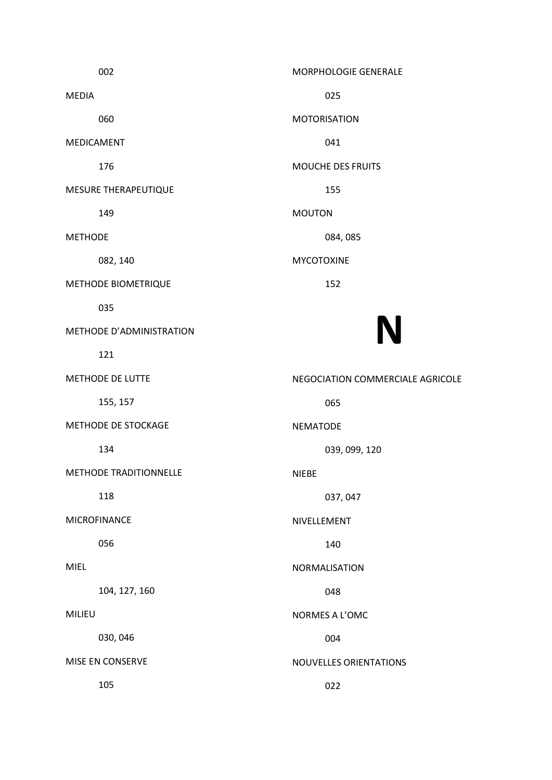002 MEDIA 060 MEDICAMENT 176 MESURE THERAPEUTIQUE 149 METHODE 082, 140 METHODE BIOMETRIQUE 035 METHODE D'ADMINISTRATION 121 METHODE DE LUTTE 155, 157 METHODE DE STOCKAGE 134 METHODE TRADITIONNELLE 118 MICROFINANCE 056 MIEL 104, 127, 160 MILIEU 030, 046 MISE EN CONSERVE 105 MORPHOLOGIE GENERALE 025 MOTORISATION 041 MOUCHE DES FRUITS 155 MOUTON 084, 085 MYCOTOXINE 152 N NEGOCIATION COMMERCIALE AGRICOLE 065 NEMATODE 039, 099, 120 NIEBE 037, 047 NIVELLEMENT 140 NORMALISATION 048 NORMES A L'OMC 004 NOUVELLES ORIENTATIONS 022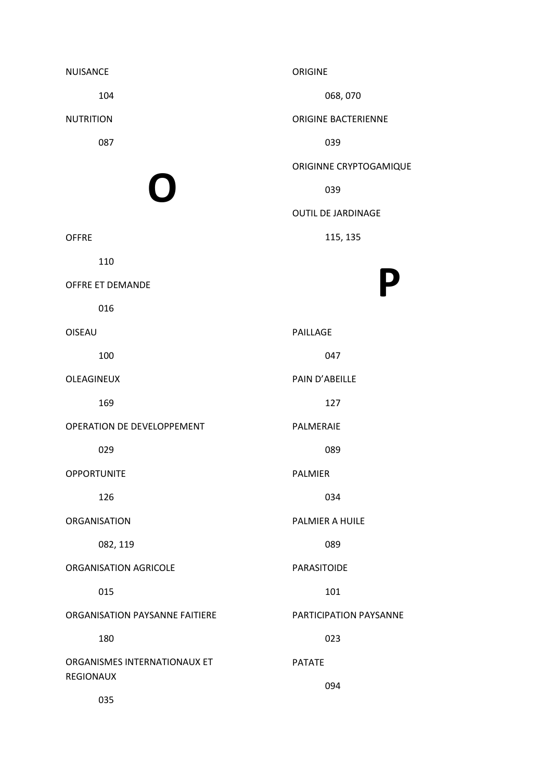| <b>NUISANCE</b>                | <b>ORIGINE</b>             |
|--------------------------------|----------------------------|
| 104                            | 068,070                    |
| <b>NUTRITION</b>               | <b>ORIGINE BACTERIENNE</b> |
| 087                            | 039                        |
|                                | ORIGINNE CRYPTOGAMIQUE     |
| $\bigcap$                      | 039                        |
|                                | <b>OUTIL DE JARDINAGE</b>  |
| <b>OFFRE</b>                   | 115, 135                   |
| 110                            |                            |
| <b>OFFRE ET DEMANDE</b>        | P                          |
| 016                            |                            |
| <b>OISEAU</b>                  | PAILLAGE                   |
| 100                            | 047                        |
| OLEAGINEUX                     | PAIN D'ABEILLE             |
| 169                            | 127                        |
| OPERATION DE DEVELOPPEMENT     | PALMERAIE                  |
| 029                            | 089                        |
| <b>OPPORTUNITE</b>             | <b>PALMIER</b>             |
| 126                            | 034                        |
| <b>ORGANISATION</b>            | <b>PALMIER A HUILE</b>     |
| 082, 119                       | 089                        |
| ORGANISATION AGRICOLE          | <b>PARASITOIDE</b>         |
| 015                            | 101                        |
| ORGANISATION PAYSANNE FAITIERE | PARTICIPATION PAYSANNE     |
| 180                            | 023                        |
| ORGANISMES INTERNATIONAUX ET   | <b>PATATE</b>              |
| <b>REGIONAUX</b>               | 094                        |
| 035                            |                            |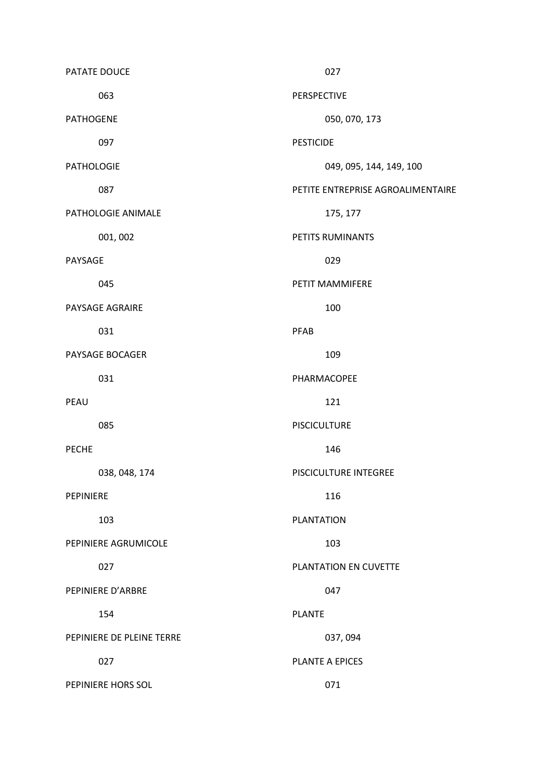| PATATE DOUCE              | 027                               |
|---------------------------|-----------------------------------|
| 063                       | PERSPECTIVE                       |
| <b>PATHOGENE</b>          | 050, 070, 173                     |
| 097                       | <b>PESTICIDE</b>                  |
| <b>PATHOLOGIE</b>         | 049, 095, 144, 149, 100           |
| 087                       | PETITE ENTREPRISE AGROALIMENTAIRE |
| PATHOLOGIE ANIMALE        | 175, 177                          |
| 001, 002                  | PETITS RUMINANTS                  |
| PAYSAGE                   | 029                               |
| 045                       | PETIT MAMMIFERE                   |
| PAYSAGE AGRAIRE           | 100                               |
| 031                       | PFAB                              |
| PAYSAGE BOCAGER           | 109                               |
| 031                       | PHARMACOPEE                       |
| PEAU                      | 121                               |
| 085                       | <b>PISCICULTURE</b>               |
| <b>PECHE</b>              | 146                               |
| 038, 048, 174             | PISCICULTURE INTEGREE             |
| PEPINIERE                 | 116                               |
| 103                       | <b>PLANTATION</b>                 |
| PEPINIERE AGRUMICOLE      | 103                               |
| 027                       | PLANTATION EN CUVETTE             |
| PEPINIERE D'ARBRE         | 047                               |
| 154                       | <b>PLANTE</b>                     |
| PEPINIERE DE PLEINE TERRE | 037,094                           |
| 027                       | PLANTE A EPICES                   |
| PEPINIERE HORS SOL        | 071                               |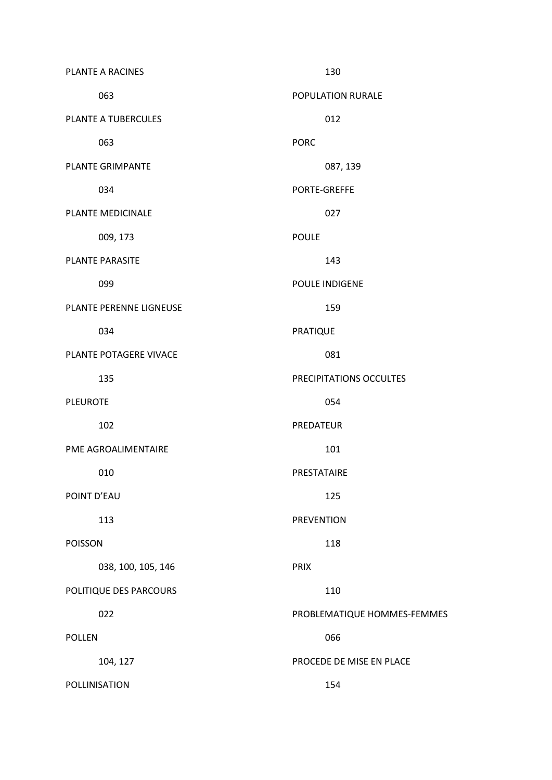| PLANTE A RACINES        | 130                         |
|-------------------------|-----------------------------|
| 063                     | POPULATION RURALE           |
| PLANTE A TUBERCULES     | 012                         |
| 063                     | <b>PORC</b>                 |
| <b>PLANTE GRIMPANTE</b> | 087, 139                    |
| 034                     | PORTE-GREFFE                |
| PLANTE MEDICINALE       | 027                         |
| 009, 173                | <b>POULE</b>                |
| <b>PLANTE PARASITE</b>  | 143                         |
| 099                     | POULE INDIGENE              |
| PLANTE PERENNE LIGNEUSE | 159                         |
| 034                     | <b>PRATIQUE</b>             |
| PLANTE POTAGERE VIVACE  | 081                         |
| 135                     | PRECIPITATIONS OCCULTES     |
| <b>PLEUROTE</b>         | 054                         |
| 102                     | PREDATEUR                   |
| PME AGROALIMENTAIRE     | 101                         |
| 010                     | PRESTATAIRE                 |
| POINT D'EAU             | 125                         |
| 113                     | <b>PREVENTION</b>           |
| <b>POISSON</b>          | 118                         |
| 038, 100, 105, 146      | <b>PRIX</b>                 |
| POLITIQUE DES PARCOURS  | 110                         |
| 022                     | PROBLEMATIQUE HOMMES-FEMMES |
| <b>POLLEN</b>           | 066                         |
| 104, 127                | PROCEDE DE MISE EN PLACE    |
| POLLINISATION           | 154                         |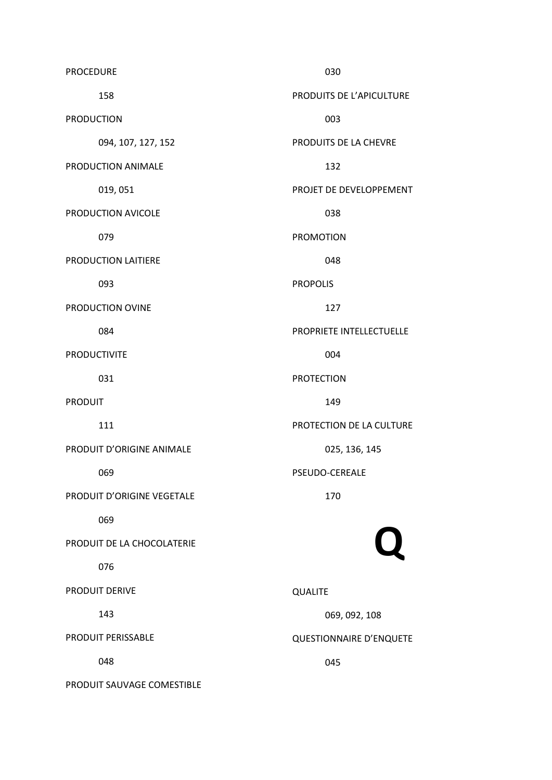PROCEDURE 158 PRODUCTION 094, 107, 127, 152 PRODUCTION ANIMALE 019, 051 PRODUCTION AVICOLE 079 PRODUCTION LAITIERE 093 PRODUCTION OVINE 084 PRODUCTIVITE 031 PRODUIT 111 PRODUIT D'ORIGINE ANIMALE 069 PRODUIT D'ORIGINE VEGETALE 069 PRODUIT DE LA CHOCOLATERIE 076 PRODUIT DERIVE 143 PRODUIT PERISSABLE 048 PRODUIT SAUVAGE COMESTIBLE 030 PRODUITS DE L'APICULTURE 003 PRODUITS DE LA CHEVRE 132 PROJET DE DEVELOPPEMENT 038 PROMOTION 048 PROPOLIS 127 PROPRIETE INTELLECTUELLE 004 PROTECTION 149 PROTECTION DE LA CULTURE 025, 136, 145 PSEUDO-CEREALE 170 Q QUALITE 069, 092, 108 QUESTIONNAIRE D'ENQUETE 045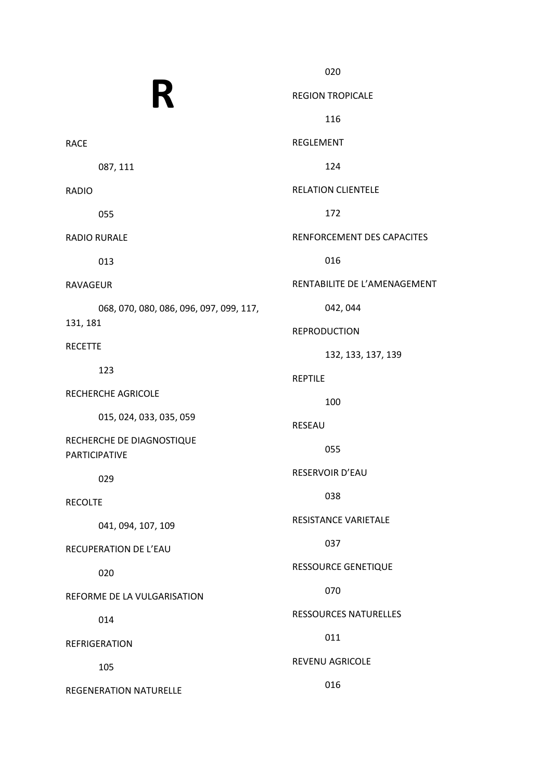R RACE 087, 111 RADIO 055 RADIO RURALE 013 RAVAGEUR 068, 070, 080, 086, 096, 097, 099, 117, 131, 181 RECETTE 123 RECHERCHE AGRICOLE 015, 024, 033, 035, 059 RECHERCHE DE DIAGNOSTIQUE PARTICIPATIVE 029 RECOLTE 041, 094, 107, 109 RECUPERATION DE L'EAU 020 REFORME DE LA VULGARISATION 014 REFRIGERATION 105 REGENERATION NATURELLE 020 REGION TROPICALE 116 REGLEMENT 124 RELATION CLIENTELE 172 RENFORCEMENT DES CAPACITES 016 RENTABILITE DE L'AMENAGEMENT 042, 044 REPRODUCTION 132, 133, 137, 139 REPTILE 100 RESEAU 055 RESERVOIR D'EAU 038 RESISTANCE VARIETALE 037 RESSOURCE GENETIQUE 070 RESSOURCES NATURELLES 011 REVENU AGRICOLE 016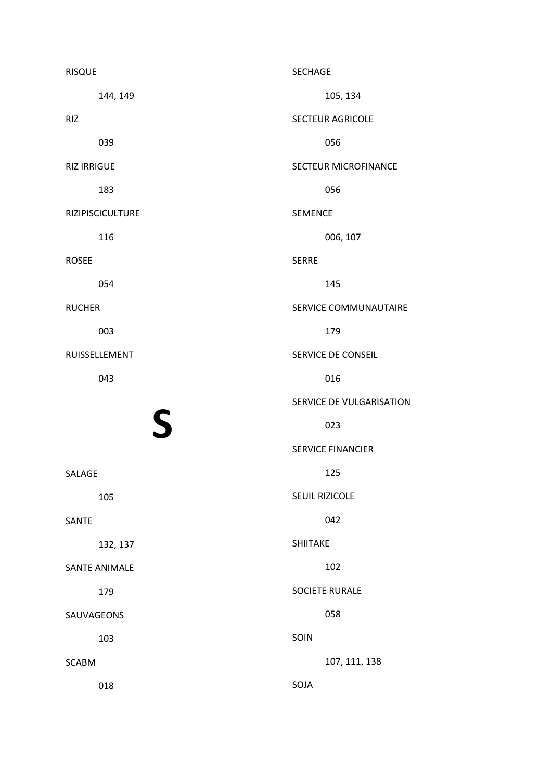| <b>RISQUE</b>      |                      | <b>SECHAGE</b>  |                          |
|--------------------|----------------------|-----------------|--------------------------|
|                    | 144, 149             |                 | 105, 134                 |
| <b>RIZ</b>         |                      |                 | SECTEUR AGRICOLE         |
|                    | 039                  |                 | 056                      |
| <b>RIZ IRRIGUE</b> |                      |                 | SECTEUR MICROFINANCE     |
|                    | 183                  |                 | 056                      |
|                    | RIZIPISCICULTURE     | <b>SEMENCE</b>  |                          |
|                    | 116                  |                 | 006, 107                 |
| <b>ROSEE</b>       |                      | <b>SERRE</b>    |                          |
|                    | 054                  |                 | 145                      |
| <b>RUCHER</b>      |                      |                 | SERVICE COMMUNAUTAIRE    |
|                    | 003                  |                 | 179                      |
|                    | RUISSELLEMENT        |                 | SERVICE DE CONSEIL       |
|                    | 043                  |                 | 016                      |
|                    |                      |                 | SERVICE DE VULGARISATION |
|                    | S                    |                 | 023                      |
|                    |                      |                 | <b>SERVICE FINANCIER</b> |
| SALAGE             |                      |                 | 125                      |
|                    | 105                  |                 | SEUIL RIZICOLE           |
| SANTE              |                      |                 | 042                      |
|                    | 132, 137             | <b>SHIITAKE</b> |                          |
|                    | <b>SANTE ANIMALE</b> |                 | 102                      |
|                    | 179                  |                 | <b>SOCIETE RURALE</b>    |
| SAUVAGEONS         |                      |                 | 058                      |
|                    | 103                  | SOIN            |                          |
| <b>SCABM</b>       |                      |                 | 107, 111, 138            |
|                    | 018                  | SOJA            |                          |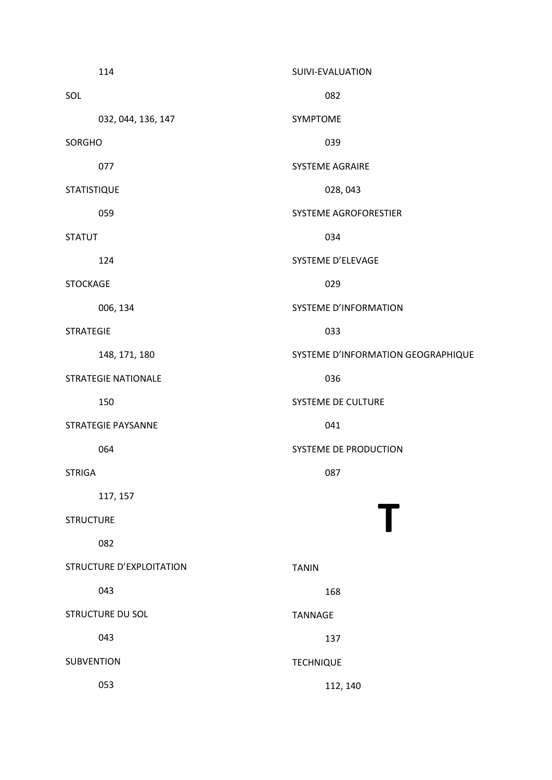|                    | 114                        | SUIVI-EVALUATION                   |
|--------------------|----------------------------|------------------------------------|
| SOL                |                            | 082                                |
|                    | 032, 044, 136, 147         | SYMPTOME                           |
| SORGHO             |                            | 039                                |
|                    | 077                        | <b>SYSTEME AGRAIRE</b>             |
| <b>STATISTIQUE</b> |                            | 028, 043                           |
|                    | 059                        | SYSTEME AGROFORESTIER              |
| <b>STATUT</b>      |                            | 034                                |
|                    | 124                        | SYSTEME D'ELEVAGE                  |
| <b>STOCKAGE</b>    |                            | 029                                |
|                    | 006, 134                   | SYSTEME D'INFORMATION              |
| <b>STRATEGIE</b>   |                            | 033                                |
|                    | 148, 171, 180              | SYSTEME D'INFORMATION GEOGRAPHIQUE |
|                    | <b>STRATEGIE NATIONALE</b> | 036                                |
|                    | 150                        | SYSTEME DE CULTURE                 |
|                    | <b>STRATEGIE PAYSANNE</b>  | 041                                |
|                    | 064                        | SYSTEME DE PRODUCTION              |
| <b>STRIGA</b>      |                            | 087                                |
|                    | 117, 157                   |                                    |
| <b>STRUCTURE</b>   |                            |                                    |
|                    | 082                        |                                    |
|                    | STRUCTURE D'EXPLOITATION   | <b>TANIN</b>                       |
|                    | 043                        | 168                                |
|                    | STRUCTURE DU SOL           | <b>TANNAGE</b>                     |
|                    | 043                        | 137                                |
| <b>SUBVENTION</b>  |                            | <b>TECHNIQUE</b>                   |
|                    | 053                        | 112, 140                           |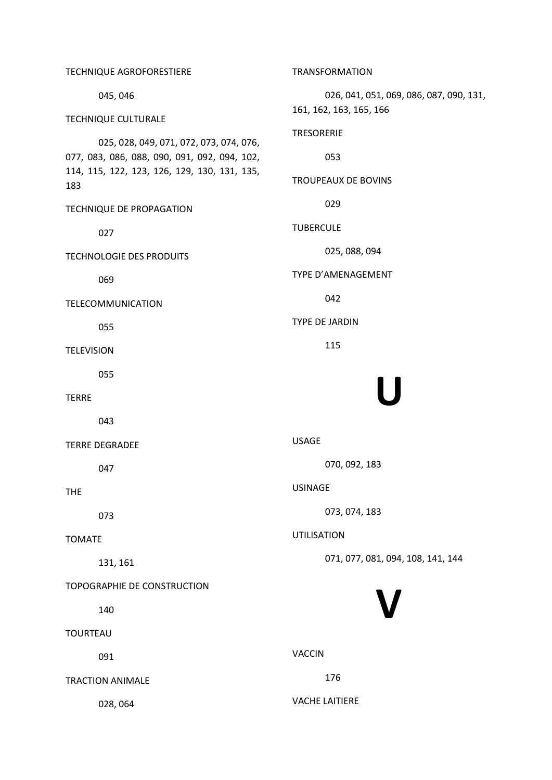TECHNIQUE AGROFORESTIERE 045, 046 TECHNIQUE CULTURALE 025, 028, 049, 071, 072, 073, 074, 076, 077, 083, 086, 088, 090, 091, 092, 094, 102, 114, 115, 122, 123, 126, 129, 130, 131, 135, 183 TECHNIQUE DE PROPAGATION 027 TECHNOLOGIE DES PRODUITS 069 TELECOMMUNICATION 055 **TELEVISION**  055 TERRE 043 TERRE DEGRADEE 047 THE 073 TOMATE 131, 161 TOPOGRAPHIE DE CONSTRUCTION 140 TOURTEAU 091 TRACTION ANIMALE 028, 064 TRANSFORMATION 026, 041, 051, 069, 086, 087, 090, 131, 161, 162, 163, 165, 166 TRESORERIE 053 TROUPEAUX DE BOVINS 029 TUBERCULE 025, 088, 094 TYPE D'AMENAGEMENT 042 TYPE DE JARDIN 115 U USAGE 070, 092, 183 USINAGE 073, 074, 183 UTILISATION 071, 077, 081, 094, 108, 141, 144 V VACCIN 176 VACHE LAITIERE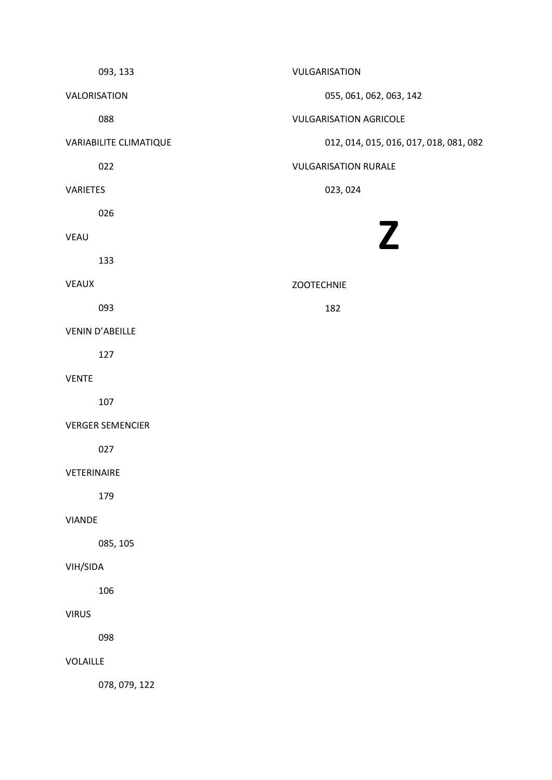093, 133 VALORISATION 088 VARIABILITE CLIMATIQUE 022 VARIETES 026 VEAU 133 VEAUX 093 VENIN D'ABEILLE 127 VENTE 107 VERGER SEMENCIER 027 VETERINAIRE 179 VIANDE 085, 105 VIH/SIDA 106 VIRUS 098 VOLAILLE VULGARISATION 055, 061, 062, 063, 142 VULGARISATION AGRICOLE 012, 014, 015, 016, 017, 018, 081, 082 VULGARISATION RURALE 023, 024 Z ZOOTECHNIE 182

078, 079, 122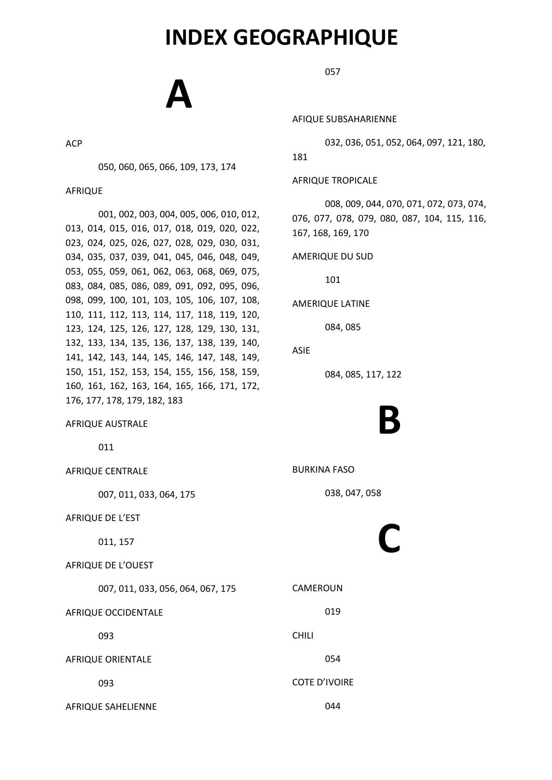### INDEX GEOGRAPHIQUE

# A

ACP

050, 060, 065, 066, 109, 173, 174

AFRIQUE

001, 002, 003, 004, 005, 006, 010, 012, 013, 014, 015, 016, 017, 018, 019, 020, 022, 023, 024, 025, 026, 027, 028, 029, 030, 031, 034, 035, 037, 039, 041, 045, 046, 048, 049, 053, 055, 059, 061, 062, 063, 068, 069, 075, 083, 084, 085, 086, 089, 091, 092, 095, 096, 098, 099, 100, 101, 103, 105, 106, 107, 108, 110, 111, 112, 113, 114, 117, 118, 119, 120, 123, 124, 125, 126, 127, 128, 129, 130, 131, 132, 133, 134, 135, 136, 137, 138, 139, 140, 141, 142, 143, 144, 145, 146, 147, 148, 149, 150, 151, 152, 153, 154, 155, 156, 158, 159, 160, 161, 162, 163, 164, 165, 166, 171, 172, 176, 177, 178, 179, 182, 183

AFRIQUE AUSTRALE

011

AFRIQUE CENTRALE 007, 011, 033, 064, 175 AFRIQUE DE L'EST 011, 157 AFRIQUE DE L'OUEST 007, 011, 033, 056, 064, 067, 175 AFRIQUE OCCIDENTALE 093 AFRIQUE ORIENTALE 093 CAMEROUN 019 CHILI 054 COTE D'IVOIRE

AFRIQUE SAHELIENNE

057

AFIQUE SUBSAHARIENNE

032, 036, 051, 052, 064, 097, 121, 180,

181

AFRIQUE TROPICALE

008, 009, 044, 070, 071, 072, 073, 074, 076, 077, 078, 079, 080, 087, 104, 115, 116, 167, 168, 169, 170

AMERIQUE DU SUD

101

AMERIQUE LATINE

084, 085

#### ASIE

084, 085, 117, 122

# B

BURKINA FASO

038, 047, 058

# C

044